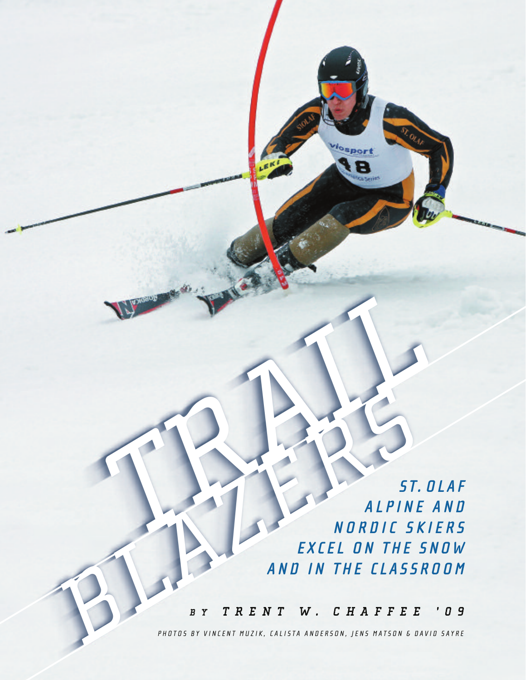**S T. O L A F A L P I N E A N D N O R D I C S K I E R S E X C E L O N T H E S N OW A N D I N T H E C L A S S R O O M TRAILER ALPINE BLACK ALPINE**<br> **BLACK ALPINE**<br> **BLACK ALPINE**<br> **BLACK AND IN THE CLASSING AND IN THE CLASSING AND IN THE CLASSING AND IN THE CLASSING AND ALPINER AND ALSO AND ALPINER AND ALSO AND ALPINER AND ALPINER AND ALPINER AND ALPIN** 

osport Ξ

*B Y T R E N T W . C H A F F E E ' 0 9*

PHOTOS BY VINCENT MUZIK, CALISTA ANDERSON, JENS MATSON & DAVID SAYRE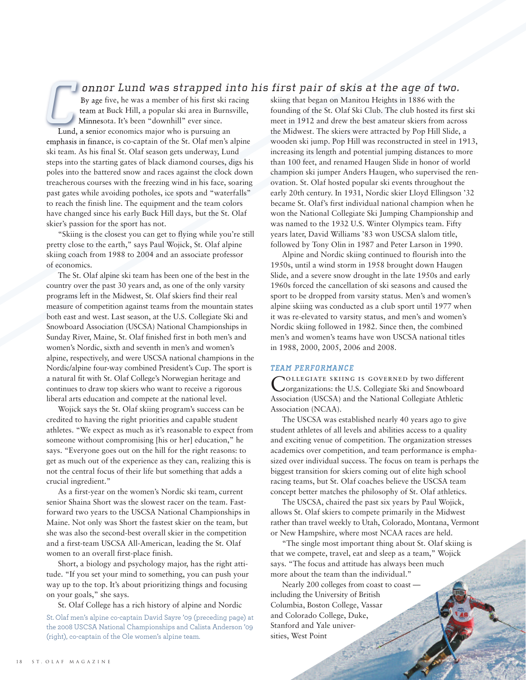## *onnor Lund was strapped into his first pair of skis at the age of two.*

By age five, he was a member of his first ski racing team at Buck Hill, a popular ski area in Burnsville, Minnesota. It's been "downhill" ever since. *C*

Lund, a senior economics major who is pursuing an emphasis in finance, is co-captain of the St. Olaf men's alpine ski team. As his final St. Olaf season gets underway, Lund steps into the starting gates of black diamond courses, digs his poles into the battered snow and races against the clock down treacherous courses with the freezing wind in his face, soaring past gates while avoiding potholes, ice spots and "waterfalls" to reach the finish line. The equipment and the team colors have changed since his early Buck Hill days, but the St. Olaf skier's passion for the sport has not.

"Skiing is the closest you can get to flying while you're still pretty close to the earth," says Paul Wojick, St. Olaf alpine skiing coach from 1988 to 2004 and an associate professor of economics.

The St. Olaf alpine ski team has been one of the best in the country over the past 30 years and, as one of the only varsity programs left in the Midwest, St. Olaf skiers find their real measure of competition against teams from the mountain states both east and west. Last season, at the U.S. Collegiate Ski and Snowboard Association (USCSA) National Championships in Sunday River, Maine, St. Olaf finished first in both men's and women's Nordic, sixth and seventh in men's and women's alpine, respectively, and were USCSA national champions in the Nordic/alpine four-way combined President's Cup. The sport is a natural fit with St. Olaf College's Norwegian heritage and continues to draw top skiers who want to receive a rigorous liberal arts education and compete at the national level.

Wojick says the St. Olaf skiing program's success can be credited to having the right priorities and capable student athletes. "We expect as much as it's reasonable to expect from someone without compromising [his or her] education," he says. "Everyone goes out on the hill for the right reasons: to get as much out of the experience as they can, realizing this is not the central focus of their life but something that adds a crucial ingredient."

As a first-year on the women's Nordic ski team, current senior Shaina Short was the slowest racer on the team. Fastforward two years to the USCSA National Championships in Maine. Not only was Short the fastest skier on the team, but she was also the second-best overall skier in the competition and a first-team USCSA All-American, leading the St. Olaf women to an overall first-place finish.

Short, a biology and psychology major, has the right attitude. "If you set your mind to something, you can push your way up to the top. It's about prioritizing things and focusing on your goals," she says.

St. Olaf College has a rich history of alpine and Nordic

St. Olaf men's alpine co-captain David Sayre '09 (preceding page) at the 2008 USCSA National Championships and Calista Anderson '09 (right), co-captain of the Ole women's alpine team.

skiing that began on Manitou Heights in 1886 with the founding of the St. Olaf Ski Club. The club hosted its first ski meet in 1912 and drew the best amateur skiers from across the Midwest. The skiers were attracted by Pop Hill Slide, a wooden ski jump. Pop Hill was reconstructed in steel in 1913, increasing its length and potential jumping distances to more than 100 feet, and renamed Haugen Slide in honor of world champion ski jumper Anders Haugen, who supervised the renovation. St. Olaf hosted popular ski events throughout the early 20th century. In 1931, Nordic skier Lloyd Ellingson '32 became St. Olaf's first individual national champion when he won the National Collegiate Ski Jumping Championship and was named to the 1932 U.S. Winter Olympics team. Fifty years later, David Williams '83 won USCSA slalom title, followed by Tony Olin in 1987 and Peter Larson in 1990.

Alpine and Nordic skiing continued to flourish into the 1950s, until a wind storm in 1958 brought down Haugen Slide, and a severe snow drought in the late 1950s and early 1960s forced the cancellation of ski seasons and caused the sport to be dropped from varsity status. Men's and women's alpine skiing was conducted as a club sport until 1977 when it was re-elevated to varsity status, and men's and women's Nordic skiing followed in 1982. Since then, the combined men's and women's teams have won USCSA national titles in 1988, 2000, 2005, 2006 and 2008.

#### *TEAM PERFORMANCE*

COLLEGIATE SKIING IS GOVERNED by two different<br>Corganizations: the U.S. Collegiate Ski and Snowboard Association (USCSA) and the National Collegiate Athletic Association (NCAA).

The USCSA was established nearly 40 years ago to give student athletes of all levels and abilities access to a quality and exciting venue of competition. The organization stresses academics over competition, and team performance is emphasized over individual success. The focus on team is perhaps the biggest transition for skiers coming out of elite high school racing teams, but St. Olaf coaches believe the USCSA team concept better matches the philosophy of St. Olaf athletics.

The USCSA, chaired the past six years by Paul Wojick, allows St. Olaf skiers to compete primarily in the Midwest rather than travel weekly to Utah, Colorado, Montana, Vermont or New Hampshire, where most NCAA races are held.

"The single most important thing about St. Olaf skiing is that we compete, travel, eat and sleep as a team," Wojick says. "The focus and attitude has always been much more about the team than the individual."

Nearly 200 colleges from coast to coast including the University of British Columbia, Boston College, Vassar and Colorado College, Duke, Stanford and Yale universities, West Point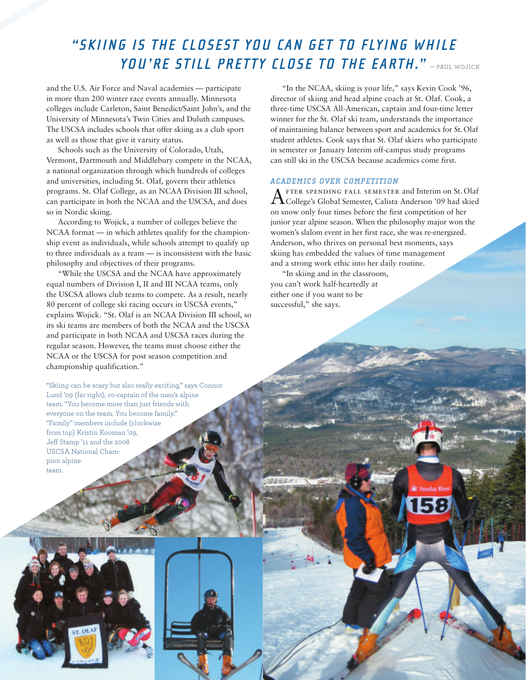# **"SKIING IS THE CLOSEST YOU CAN GET TO FLYING WHILE YOU'RE STILL PRETTY CLOSE TO THE EARTH."** — Paul Wojick

and the U.S. Air Force and Naval academies — participate in more than 200 winter race events annually. Minnesota colleges include Carleton, Saint Benedict/Saint John's, and the University of Minnesota's Twin Cities and Duluth campuses. The USCSA includes schools that offer skiing as a club sport as well as those that give it varsity status.

Schools such as the University of Colorado, Utah, Vermont, Dartmouth and Middlebury compete in the NCAA, a national organization through which hundreds of colleges and universities, including St. Olaf, govern their athletics programs. St. Olaf College, as an NCAA Division III school, can participate in both the NCAA and the USCSA, and does so in Nordic skiing.

According to Wojick, a number of colleges believe the NCAA format — in which athletes qualify for the championship event as individuals, while schools attempt to qualify up to three individuals as a team — is inconsistent with the basic philosophy and objectives of their programs.

"While the USCSA and the NCAA have approximately equal numbers of Division I, II and III NCAA teams, only the USCSA allows club teams to compete. As a result, nearly 80 percent of college ski racing occurs in USCSA events," explains Wojick. "St. Olaf is an NCAA Division III school, so its ski teams are members of both the NCAA and the USCSA and participate in both NCAA and USCSA races during the regular season. However, the teams must choose either the NCAA or the USCSA for post season competition and championship qualification."

"Skiing can be scary but also really exciting," says Connor Lund '09 (far right), co-captain of the men's alpine team. "You become more than just friends with everyone on the team. You become family." "Family" members include (clockwise from top) Kristin Kooman '09, Jeff Stamp '11 and the 2008 USCSA National Champion alpine team.

"In the NCAA, skiing is your life," says Kevin Cook '96, director of skiing and head alpine coach at St. Olaf. Cook, a three-time USCSA All-American, captain and four-time letter winner for the St. Olaf ski team, understands the importance of maintaining balance between sport and academics for St.Olaf student athletes. Cook says that St. Olaf skiers who participate in semester or January Interim off-campus study programs can still ski in the USCSA because academics come first.

### *ACADEMICS OVER COMPETITION*

After spending fall semester and Interim on St. Olaf College's Global Semester, Calista Anderson '09 had skied on snow only four times before the first competition of her junior year alpine season. When the philosophy major won the women's slalom event in her first race, she was re-energized. Anderson, who thrives on personal best moments, says skiing has embedded the values of time management and a strong work ethic into her daily routine.

"In skiing and in the classroom, you can't work half-heartedly at either one if you want to be successful," she says.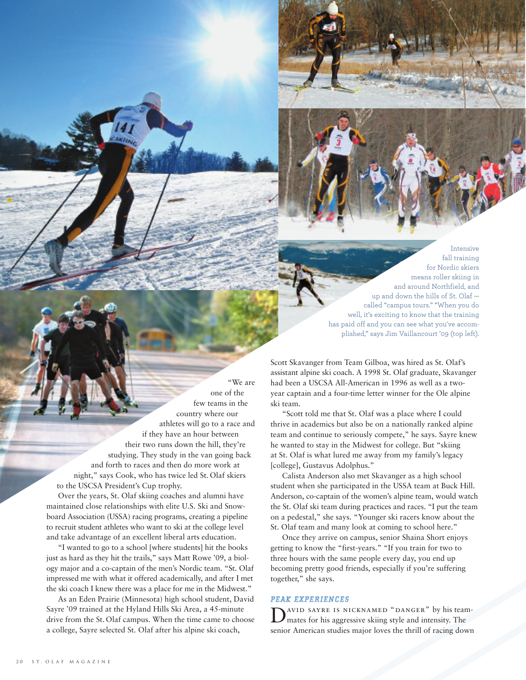Intensive fall training for Nordic skiers means roller skiing in and around Northfield, and up and down the hills of St. Olaf called "campus tours." "When you do well, it's exciting to know that the training has paid off and you can see what you've accomplished," says Jim Vaillancourt '09 (top left).

"We are one of the few teams in the country where our athletes will go to a race and if they have an hour between their two runs down the hill, they're studying. They study in the van going back and forth to races and then do more work at night," says Cook, who has twice led St. Olaf skiers to the USCSA President's Cup trophy.

Over the years, St. Olaf skiing coaches and alumni have maintained close relationships with elite U.S. Ski and Snowboard Association (USSA) racing programs, creating a pipeline to recruit student athletes who want to ski at the college level and take advantage of an excellent liberal arts education.

"I wanted to go to a school [where students] hit the books just as hard as they hit the trails," says Matt Rowe '09, a biology major and a co-captain of the men's Nordic team. "St. Olaf impressed me with what it offered academically, and after I met the ski coach I knew there was a place for me in the Midwest."

As an Eden Prairie (Minnesota) high school student, David Sayre '09 trained at the Hyland Hills Ski Area, a 45-minute drive from the St. Olaf campus. When the time came to choose a college, Sayre selected St. Olaf after his alpine ski coach,

Scott Skavanger from Team Gilboa, was hired as St. Olaf's assistant alpine ski coach. A 1998 St. Olaf graduate, Skavanger had been a USCSA All-American in 1996 as well as a twoyear captain and a four-time letter winner for the Ole alpine ski team.

"Scott told me that St. Olaf was a place where I could thrive in academics but also be on a nationally ranked alpine team and continue to seriously compete," he says. Sayre knew he wanted to stay in the Midwest for college. But "skiing at St. Olaf is what lured me away from my family's legacy [college], Gustavus Adolphus."

Calista Anderson also met Skavanger as a high school student when she participated in the USSA team at Buck Hill. Anderson, co-captain of the women's alpine team, would watch the St. Olaf ski team during practices and races. "I put the team on a pedestal," she says. "Younger ski racers know about the St. Olaf team and many look at coming to school here."

Once they arrive on campus, senior Shaina Short enjoys getting to know the "first-years." "If you train for two to three hours with the same people every day, you end up becoming pretty good friends, especially if you're suffering together," she says.

### *PEAK EXPERIENCES*

D<sup>AVID</sup> SAYRE IS NICKNAMED "DANGER" by his team-<br>mates for his aggressive skiing style and intensity. The senior American studies major loves the thrill of racing down